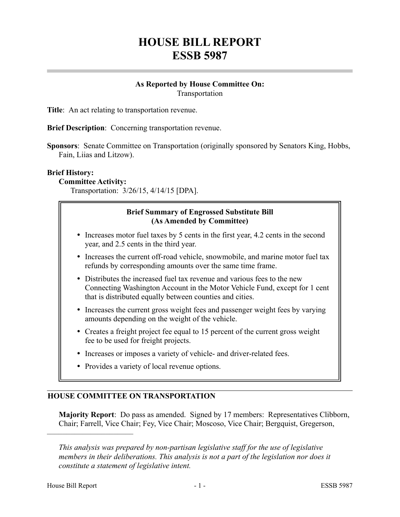# **HOUSE BILL REPORT ESSB 5987**

## **As Reported by House Committee On:** Transportation

**Title**: An act relating to transportation revenue.

**Brief Description**: Concerning transportation revenue.

**Sponsors**: Senate Committee on Transportation (originally sponsored by Senators King, Hobbs, Fain, Liias and Litzow).

#### **Brief History:**

**Committee Activity:**

Transportation: 3/26/15, 4/14/15 [DPA].

## **Brief Summary of Engrossed Substitute Bill (As Amended by Committee)**

- Increases motor fuel taxes by 5 cents in the first year, 4.2 cents in the second year, and 2.5 cents in the third year.
- Increases the current off-road vehicle, snowmobile, and marine motor fuel tax refunds by corresponding amounts over the same time frame.
- Distributes the increased fuel tax revenue and various fees to the new Connecting Washington Account in the Motor Vehicle Fund, except for 1 cent that is distributed equally between counties and cities.
- Increases the current gross weight fees and passenger weight fees by varying amounts depending on the weight of the vehicle.
- Creates a freight project fee equal to 15 percent of the current gross weight fee to be used for freight projects.
- Increases or imposes a variety of vehicle- and driver-related fees.
- Provides a variety of local revenue options.

## **HOUSE COMMITTEE ON TRANSPORTATION**

**Majority Report**: Do pass as amended. Signed by 17 members: Representatives Clibborn, Chair; Farrell, Vice Chair; Fey, Vice Chair; Moscoso, Vice Chair; Bergquist, Gregerson,

*This analysis was prepared by non-partisan legislative staff for the use of legislative members in their deliberations. This analysis is not a part of the legislation nor does it constitute a statement of legislative intent.*

––––––––––––––––––––––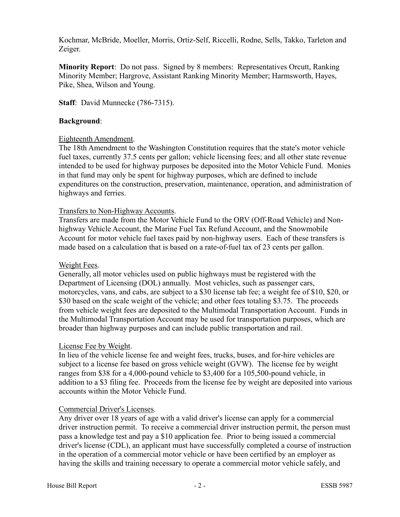Kochmar, McBride, Moeller, Morris, Ortiz-Self, Riccelli, Rodne, Sells, Takko, Tarleton and Zeiger.

**Minority Report**: Do not pass. Signed by 8 members: Representatives Orcutt, Ranking Minority Member; Hargrove, Assistant Ranking Minority Member; Harmsworth, Hayes, Pike, Shea, Wilson and Young.

**Staff**: David Munnecke (786-7315).

## **Background**:

## Eighteenth Amendment.

The 18th Amendment to the Washington Constitution requires that the state's motor vehicle fuel taxes, currently 37.5 cents per gallon; vehicle licensing fees; and all other state revenue intended to be used for highway purposes be deposited into the Motor Vehicle Fund. Monies in that fund may only be spent for highway purposes, which are defined to include expenditures on the construction, preservation, maintenance, operation, and administration of highways and ferries.

## Transfers to Non-Highway Accounts.

Transfers are made from the Motor Vehicle Fund to the ORV (Off-Road Vehicle) and Nonhighway Vehicle Account, the Marine Fuel Tax Refund Account, and the Snowmobile Account for motor vehicle fuel taxes paid by non-highway users. Each of these transfers is made based on a calculation that is based on a rate-of-fuel tax of 23 cents per gallon.

## Weight Fees.

Generally, all motor vehicles used on public highways must be registered with the Department of Licensing (DOL) annually. Most vehicles, such as passenger cars, motorcycles, vans, and cabs, are subject to a \$30 license tab fee; a weight fee of \$10, \$20, or \$30 based on the scale weight of the vehicle; and other fees totaling \$3.75. The proceeds from vehicle weight fees are deposited to the Multimodal Transportation Account. Funds in the Multimodal Transportation Account may be used for transportation purposes, which are broader than highway purposes and can include public transportation and rail.

## License Fee by Weight.

In lieu of the vehicle license fee and weight fees, trucks, buses, and for-hire vehicles are subject to a license fee based on gross vehicle weight (GVW). The license fee by weight ranges from \$38 for a 4,000-pound vehicle to \$3,400 for a 105,500-pound vehicle, in addition to a \$3 filing fee. Proceeds from the license fee by weight are deposited into various accounts within the Motor Vehicle Fund.

## Commercial Driver's Licenses.

Any driver over 18 years of age with a valid driver's license can apply for a commercial driver instruction permit. To receive a commercial driver instruction permit, the person must pass a knowledge test and pay a \$10 application fee. Prior to being issued a commercial driver's license (CDL), an applicant must have successfully completed a course of instruction in the operation of a commercial motor vehicle or have been certified by an employer as having the skills and training necessary to operate a commercial motor vehicle safely, and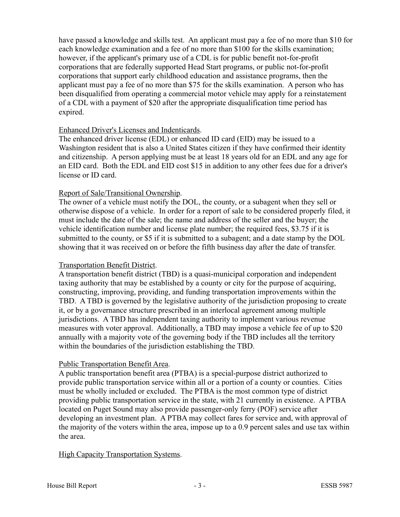have passed a knowledge and skills test. An applicant must pay a fee of no more than \$10 for each knowledge examination and a fee of no more than \$100 for the skills examination; however, if the applicant's primary use of a CDL is for public benefit not-for-profit corporations that are federally supported Head Start programs, or public not-for-profit corporations that support early childhood education and assistance programs, then the applicant must pay a fee of no more than \$75 for the skills examination. A person who has been disqualified from operating a commercial motor vehicle may apply for a reinstatement of a CDL with a payment of \$20 after the appropriate disqualification time period has expired.

# Enhanced Driver's Licenses and Indenticards.

The enhanced driver license (EDL) or enhanced ID card (EID) may be issued to a Washington resident that is also a United States citizen if they have confirmed their identity and citizenship. A person applying must be at least 18 years old for an EDL and any age for an EID card. Both the EDL and EID cost \$15 in addition to any other fees due for a driver's license or ID card.

# Report of Sale/Transitional Ownership.

The owner of a vehicle must notify the DOL, the county, or a subagent when they sell or otherwise dispose of a vehicle. In order for a report of sale to be considered properly filed, it must include the date of the sale; the name and address of the seller and the buyer; the vehicle identification number and license plate number; the required fees, \$3.75 if it is submitted to the county, or \$5 if it is submitted to a subagent; and a date stamp by the DOL showing that it was received on or before the fifth business day after the date of transfer.

# Transportation Benefit District.

A transportation benefit district (TBD) is a quasi-municipal corporation and independent taxing authority that may be established by a county or city for the purpose of acquiring, constructing, improving, providing, and funding transportation improvements within the TBD. A TBD is governed by the legislative authority of the jurisdiction proposing to create it, or by a governance structure prescribed in an interlocal agreement among multiple jurisdictions. A TBD has independent taxing authority to implement various revenue measures with voter approval. Additionally, a TBD may impose a vehicle fee of up to \$20 annually with a majority vote of the governing body if the TBD includes all the territory within the boundaries of the jurisdiction establishing the TBD.

## Public Transportation Benefit Area.

A public transportation benefit area (PTBA) is a special-purpose district authorized to provide public transportation service within all or a portion of a county or counties. Cities must be wholly included or excluded. The PTBA is the most common type of district providing public transportation service in the state, with 21 currently in existence. A PTBA located on Puget Sound may also provide passenger-only ferry (POF) service after developing an investment plan. A PTBA may collect fares for service and, with approval of the majority of the voters within the area, impose up to a 0.9 percent sales and use tax within the area.

## High Capacity Transportation Systems.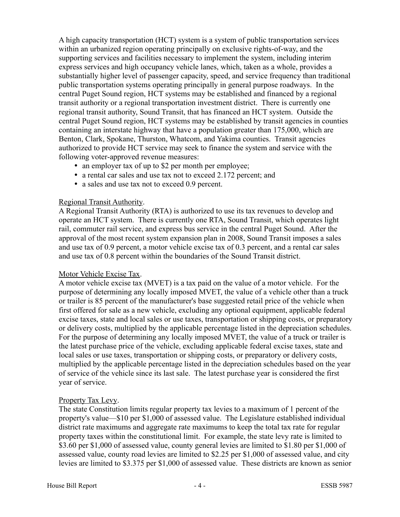A high capacity transportation (HCT) system is a system of public transportation services within an urbanized region operating principally on exclusive rights-of-way, and the supporting services and facilities necessary to implement the system, including interim express services and high occupancy vehicle lanes, which, taken as a whole, provides a substantially higher level of passenger capacity, speed, and service frequency than traditional public transportation systems operating principally in general purpose roadways. In the central Puget Sound region, HCT systems may be established and financed by a regional transit authority or a regional transportation investment district. There is currently one regional transit authority, Sound Transit, that has financed an HCT system. Outside the central Puget Sound region, HCT systems may be established by transit agencies in counties containing an interstate highway that have a population greater than 175,000, which are Benton, Clark, Spokane, Thurston, Whatcom, and Yakima counties. Transit agencies authorized to provide HCT service may seek to finance the system and service with the following voter-approved revenue measures:

- an employer tax of up to \$2 per month per employee;
- a rental car sales and use tax not to exceed 2.172 percent; and
- a sales and use tax not to exceed 0.9 percent.

# Regional Transit Authority.

A Regional Transit Authority (RTA) is authorized to use its tax revenues to develop and operate an HCT system. There is currently one RTA, Sound Transit, which operates light rail, commuter rail service, and express bus service in the central Puget Sound. After the approval of the most recent system expansion plan in 2008, Sound Transit imposes a sales and use tax of 0.9 percent, a motor vehicle excise tax of 0.3 percent, and a rental car sales and use tax of 0.8 percent within the boundaries of the Sound Transit district.

# Motor Vehicle Excise Tax.

A motor vehicle excise tax (MVET) is a tax paid on the value of a motor vehicle. For the purpose of determining any locally imposed MVET, the value of a vehicle other than a truck or trailer is 85 percent of the manufacturer's base suggested retail price of the vehicle when first offered for sale as a new vehicle, excluding any optional equipment, applicable federal excise taxes, state and local sales or use taxes, transportation or shipping costs, or preparatory or delivery costs, multiplied by the applicable percentage listed in the depreciation schedules. For the purpose of determining any locally imposed MVET, the value of a truck or trailer is the latest purchase price of the vehicle, excluding applicable federal excise taxes, state and local sales or use taxes, transportation or shipping costs, or preparatory or delivery costs, multiplied by the applicable percentage listed in the depreciation schedules based on the year of service of the vehicle since its last sale. The latest purchase year is considered the first year of service.

# Property Tax Levy.

The state Constitution limits regular property tax levies to a maximum of 1 percent of the property's value—\$10 per \$1,000 of assessed value. The Legislature established individual district rate maximums and aggregate rate maximums to keep the total tax rate for regular property taxes within the constitutional limit. For example, the state levy rate is limited to \$3.60 per \$1,000 of assessed value, county general levies are limited to \$1.80 per \$1,000 of assessed value, county road levies are limited to \$2.25 per \$1,000 of assessed value, and city levies are limited to \$3.375 per \$1,000 of assessed value. These districts are known as senior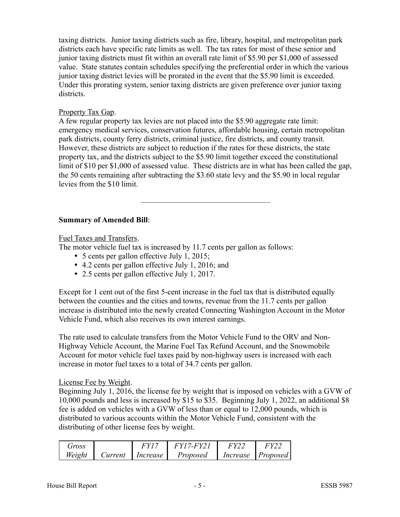taxing districts. Junior taxing districts such as fire, library, hospital, and metropolitan park districts each have specific rate limits as well. The tax rates for most of these senior and junior taxing districts must fit within an overall rate limit of \$5.90 per \$1,000 of assessed value. State statutes contain schedules specifying the preferential order in which the various junior taxing district levies will be prorated in the event that the \$5.90 limit is exceeded. Under this prorating system, senior taxing districts are given preference over junior taxing districts.

## Property Tax Gap.

A few regular property tax levies are not placed into the \$5.90 aggregate rate limit: emergency medical services, conservation futures, affordable housing, certain metropolitan park districts, county ferry districts, criminal justice, fire districts, and county transit. However, these districts are subject to reduction if the rates for these districts, the state property tax, and the districts subject to the \$5.90 limit together exceed the constitutional limit of \$10 per \$1,000 of assessed value. These districts are in what has been called the gap, the 50 cents remaining after subtracting the \$3.60 state levy and the \$5.90 in local regular levies from the \$10 limit.

–––––––––––––––––––––––––––––––––

## **Summary of Amended Bill**:

Fuel Taxes and Transfers.

The motor vehicle fuel tax is increased by 11.7 cents per gallon as follows:

- 5 cents per gallon effective July 1, 2015;
- 4.2 cents per gallon effective July 1, 2016; and
- 2.5 cents per gallon effective July 1, 2017.

Except for 1 cent out of the first 5-cent increase in the fuel tax that is distributed equally between the counties and the cities and towns, revenue from the 11.7 cents per gallon increase is distributed into the newly created Connecting Washington Account in the Motor Vehicle Fund, which also receives its own interest earnings.

The rate used to calculate transfers from the Motor Vehicle Fund to the ORV and Non-Highway Vehicle Account, the Marine Fuel Tax Refund Account, and the Snowmobile Account for motor vehicle fuel taxes paid by non-highway users is increased with each increase in motor fuel taxes to a total of 34.7 cents per gallon.

## License Fee by Weight.

Beginning July 1, 2016, the license fee by weight that is imposed on vehicles with a GVW of 10,000 pounds and less is increased by \$15 to \$35. Beginning July 1, 2022, an additional \$8 fee is added on vehicles with a GVW of less than or equal to 12,000 pounds, which is distributed to various accounts within the Motor Vehicle Fund, consistent with the distributing of other license fees by weight.

| <b><i>Jross</i></b> |         | 7V 1     | $-FY^{\dagger}$ |          |          |
|---------------------|---------|----------|-----------------|----------|----------|
| Weight              | Lurrent | Increase | Proposed        | Increase | Proposed |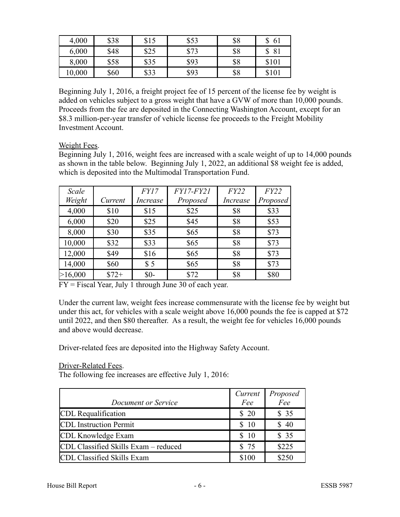| 4,000  | \$38 | \$15 | \$53         | \$8 | 61<br>J |
|--------|------|------|--------------|-----|---------|
| 6,000  | \$48 | \$25 | Q72<br>J / J | \$8 | 81<br>J |
| 8,000  | \$58 | \$35 | \$93         | \$8 | \$101   |
| 10,000 | \$60 | \$33 | \$93         | \$8 | \$101   |

Beginning July 1, 2016, a freight project fee of 15 percent of the license fee by weight is added on vehicles subject to a gross weight that have a GVW of more than 10,000 pounds. Proceeds from the fee are deposited in the Connecting Washington Account, except for an \$8.3 million-per-year transfer of vehicle license fee proceeds to the Freight Mobility Investment Account.

## Weight Fees.

Beginning July 1, 2016, weight fees are increased with a scale weight of up to 14,000 pounds as shown in the table below. Beginning July 1, 2022, an additional \$8 weight fee is added, which is deposited into the Multimodal Transportation Fund.

| Scale   |         | FY17            | $FY17$ - $FY21$ | FY22            | FY22     |
|---------|---------|-----------------|-----------------|-----------------|----------|
| Weight  | Current | <i>Increase</i> | Proposed        | <i>Increase</i> | Proposed |
| 4,000   | \$10    | \$15            | \$25            | \$8             | \$33     |
| 6,000   | \$20    | \$25            | \$45            | \$8             | \$53     |
| 8,000   | \$30    | \$35            | \$65            | \$8             | \$73     |
| 10,000  | \$32    | \$33            | \$65            | \$8             | \$73     |
| 12,000  | \$49    | \$16            | \$65            | \$8             | \$73     |
| 14,000  | \$60    | \$5             | \$65            | \$8             | \$73     |
| >16,000 | $$72+$  | $$0-$           | \$72            | \$8             | \$80     |

FY = Fiscal Year, July 1 through June 30 of each year.

Under the current law, weight fees increase commensurate with the license fee by weight but under this act, for vehicles with a scale weight above 16,000 pounds the fee is capped at \$72 until 2022, and then \$80 thereafter. As a result, the weight fee for vehicles 16,000 pounds and above would decrease.

Driver-related fees are deposited into the Highway Safety Account.

## Driver-Related Fees.

The following fee increases are effective July 1, 2016:

|                                      | Current | Proposed   |
|--------------------------------------|---------|------------|
| Document or Service                  | Fee     | $\vec{Fe}$ |
| CDL Requalification                  | \$20    | \$35       |
| CDL Instruction Permit               | \$10    | \$ 40      |
| CDL Knowledge Exam                   | \$10    | \$35       |
| CDL Classified Skills Exam - reduced | \$ 75   | \$225      |
| CDL Classified Skills Exam           | \$100   | \$250      |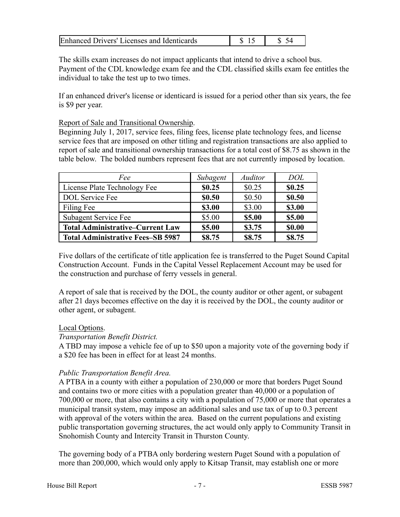| Enhanced Drivers' Licenses and Identicards |  |  |
|--------------------------------------------|--|--|
|--------------------------------------------|--|--|

The skills exam increases do not impact applicants that intend to drive a school bus. Payment of the CDL knowledge exam fee and the CDL classified skills exam fee entitles the individual to take the test up to two times.

If an enhanced driver's license or identicard is issued for a period other than six years, the fee is \$9 per year.

## Report of Sale and Transitional Ownership.

Beginning July 1, 2017, service fees, filing fees, license plate technology fees, and license service fees that are imposed on other titling and registration transactions are also applied to report of sale and transitional ownership transactions for a total cost of \$8.75 as shown in the table below. The bolded numbers represent fees that are not currently imposed by location.

| Fee                                      | Subagent | <b>Auditor</b> | <b>DOL</b> |
|------------------------------------------|----------|----------------|------------|
| License Plate Technology Fee             | \$0.25   | \$0.25         | \$0.25     |
| <b>DOL</b> Service Fee                   | \$0.50   | \$0.50         | \$0.50     |
| Filing Fee                               | \$3.00   | \$3.00         | \$3.00     |
| Subagent Service Fee                     | \$5.00   | \$5.00         | \$5.00     |
| <b>Total Administrative-Current Law</b>  | \$5.00   | \$3.75         | \$0.00     |
| <b>Total Administrative Fees-SB 5987</b> | \$8.75   | \$8.75         | \$8.75     |

Five dollars of the certificate of title application fee is transferred to the Puget Sound Capital Construction Account. Funds in the Capital Vessel Replacement Account may be used for the construction and purchase of ferry vessels in general.

A report of sale that is received by the DOL, the county auditor or other agent, or subagent after 21 days becomes effective on the day it is received by the DOL, the county auditor or other agent, or subagent.

## Local Options.

# *Transportation Benefit District.*

A TBD may impose a vehicle fee of up to \$50 upon a majority vote of the governing body if a \$20 fee has been in effect for at least 24 months.

# *Public Transportation Benefit Area.*

A PTBA in a county with either a population of 230,000 or more that borders Puget Sound and contains two or more cities with a population greater than 40,000 or a population of 700,000 or more, that also contains a city with a population of 75,000 or more that operates a municipal transit system, may impose an additional sales and use tax of up to 0.3 percent with approval of the voters within the area. Based on the current populations and existing public transportation governing structures, the act would only apply to Community Transit in Snohomish County and Intercity Transit in Thurston County.

The governing body of a PTBA only bordering western Puget Sound with a population of more than 200,000, which would only apply to Kitsap Transit, may establish one or more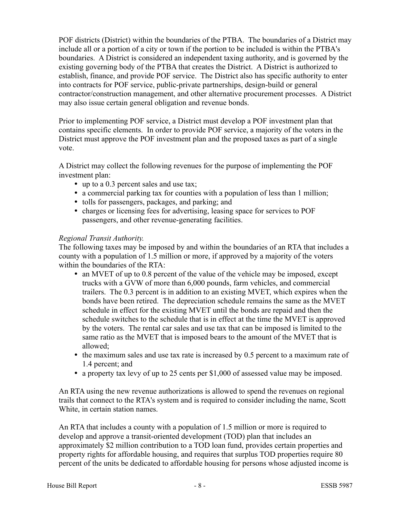POF districts (District) within the boundaries of the PTBA. The boundaries of a District may include all or a portion of a city or town if the portion to be included is within the PTBA's boundaries. A District is considered an independent taxing authority, and is governed by the existing governing body of the PTBA that creates the District. A District is authorized to establish, finance, and provide POF service. The District also has specific authority to enter into contracts for POF service, public-private partnerships, design-build or general contractor/construction management, and other alternative procurement processes. A District may also issue certain general obligation and revenue bonds.

Prior to implementing POF service, a District must develop a POF investment plan that contains specific elements. In order to provide POF service, a majority of the voters in the District must approve the POF investment plan and the proposed taxes as part of a single vote.

A District may collect the following revenues for the purpose of implementing the POF investment plan:

- up to a 0.3 percent sales and use tax;
- a commercial parking tax for counties with a population of less than 1 million;
- tolls for passengers, packages, and parking; and
- charges or licensing fees for advertising, leasing space for services to POF passengers, and other revenue-generating facilities.

# *Regional Transit Authority.*

The following taxes may be imposed by and within the boundaries of an RTA that includes a county with a population of 1.5 million or more, if approved by a majority of the voters within the boundaries of the RTA:

- an MVET of up to 0.8 percent of the value of the vehicle may be imposed, except trucks with a GVW of more than 6,000 pounds, farm vehicles, and commercial trailers. The 0.3 percent is in addition to an existing MVET, which expires when the bonds have been retired. The depreciation schedule remains the same as the MVET schedule in effect for the existing MVET until the bonds are repaid and then the schedule switches to the schedule that is in effect at the time the MVET is approved by the voters. The rental car sales and use tax that can be imposed is limited to the same ratio as the MVET that is imposed bears to the amount of the MVET that is allowed;
- $\bullet$  the maximum sales and use tax rate is increased by 0.5 percent to a maximum rate of 1.4 percent; and
- a property tax levy of up to 25 cents per \$1,000 of assessed value may be imposed.

An RTA using the new revenue authorizations is allowed to spend the revenues on regional trails that connect to the RTA's system and is required to consider including the name, Scott White, in certain station names.

An RTA that includes a county with a population of 1.5 million or more is required to develop and approve a transit-oriented development (TOD) plan that includes an approximately \$2 million contribution to a TOD loan fund, provides certain properties and property rights for affordable housing, and requires that surplus TOD properties require 80 percent of the units be dedicated to affordable housing for persons whose adjusted income is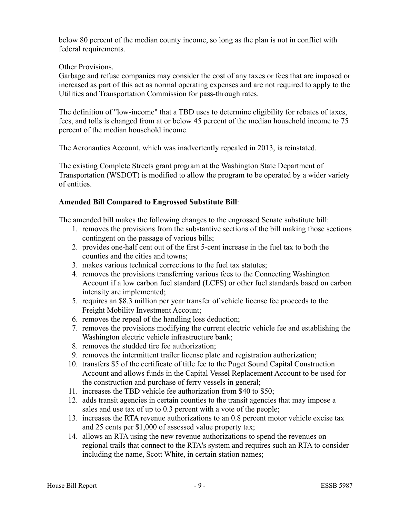below 80 percent of the median county income, so long as the plan is not in conflict with federal requirements.

# Other Provisions.

Garbage and refuse companies may consider the cost of any taxes or fees that are imposed or increased as part of this act as normal operating expenses and are not required to apply to the Utilities and Transportation Commission for pass-through rates.

The definition of "low-income" that a TBD uses to determine eligibility for rebates of taxes, fees, and tolls is changed from at or below 45 percent of the median household income to 75 percent of the median household income.

The Aeronautics Account, which was inadvertently repealed in 2013, is reinstated.

The existing Complete Streets grant program at the Washington State Department of Transportation (WSDOT) is modified to allow the program to be operated by a wider variety of entities.

## **Amended Bill Compared to Engrossed Substitute Bill**:

The amended bill makes the following changes to the engrossed Senate substitute bill:

- 1. removes the provisions from the substantive sections of the bill making those sections contingent on the passage of various bills;
- 2. provides one-half cent out of the first 5-cent increase in the fuel tax to both the counties and the cities and towns;
- 3. makes various technical corrections to the fuel tax statutes;
- 4. removes the provisions transferring various fees to the Connecting Washington Account if a low carbon fuel standard (LCFS) or other fuel standards based on carbon intensity are implemented;
- 5. requires an \$8.3 million per year transfer of vehicle license fee proceeds to the Freight Mobility Investment Account;
- 6. removes the repeal of the handling loss deduction;
- 7. removes the provisions modifying the current electric vehicle fee and establishing the Washington electric vehicle infrastructure bank;
- 8. removes the studded tire fee authorization;
- 9. removes the intermittent trailer license plate and registration authorization;
- 10. transfers \$5 of the certificate of title fee to the Puget Sound Capital Construction Account and allows funds in the Capital Vessel Replacement Account to be used for the construction and purchase of ferry vessels in general;
- 11. increases the TBD vehicle fee authorization from \$40 to \$50;
- 12. adds transit agencies in certain counties to the transit agencies that may impose a sales and use tax of up to 0.3 percent with a vote of the people;
- 13. increases the RTA revenue authorizations to an 0.8 percent motor vehicle excise tax and 25 cents per \$1,000 of assessed value property tax;
- 14. allows an RTA using the new revenue authorizations to spend the revenues on regional trails that connect to the RTA's system and requires such an RTA to consider including the name, Scott White, in certain station names;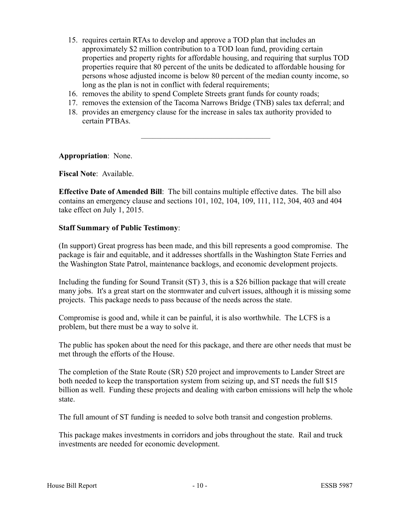- 15. requires certain RTAs to develop and approve a TOD plan that includes an approximately \$2 million contribution to a TOD loan fund, providing certain properties and property rights for affordable housing, and requiring that surplus TOD properties require that 80 percent of the units be dedicated to affordable housing for persons whose adjusted income is below 80 percent of the median county income, so long as the plan is not in conflict with federal requirements;
- 16. removes the ability to spend Complete Streets grant funds for county roads;
- 17. removes the extension of the Tacoma Narrows Bridge (TNB) sales tax deferral; and

–––––––––––––––––––––––––––––––––

18. provides an emergency clause for the increase in sales tax authority provided to certain PTBAs.

**Appropriation**: None.

## **Fiscal Note**: Available.

**Effective Date of Amended Bill**: The bill contains multiple effective dates. The bill also contains an emergency clause and sections 101, 102, 104, 109, 111, 112, 304, 403 and 404 take effect on July 1, 2015.

## **Staff Summary of Public Testimony**:

(In support) Great progress has been made, and this bill represents a good compromise. The package is fair and equitable, and it addresses shortfalls in the Washington State Ferries and the Washington State Patrol, maintenance backlogs, and economic development projects.

Including the funding for Sound Transit (ST) 3, this is a \$26 billion package that will create many jobs. It's a great start on the stormwater and culvert issues, although it is missing some projects. This package needs to pass because of the needs across the state.

Compromise is good and, while it can be painful, it is also worthwhile. The LCFS is a problem, but there must be a way to solve it.

The public has spoken about the need for this package, and there are other needs that must be met through the efforts of the House.

The completion of the State Route (SR) 520 project and improvements to Lander Street are both needed to keep the transportation system from seizing up, and ST needs the full \$15 billion as well. Funding these projects and dealing with carbon emissions will help the whole state.

The full amount of ST funding is needed to solve both transit and congestion problems.

This package makes investments in corridors and jobs throughout the state. Rail and truck investments are needed for economic development.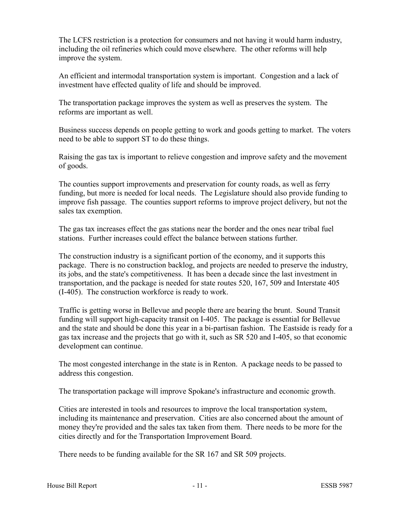The LCFS restriction is a protection for consumers and not having it would harm industry, including the oil refineries which could move elsewhere. The other reforms will help improve the system.

An efficient and intermodal transportation system is important. Congestion and a lack of investment have effected quality of life and should be improved.

The transportation package improves the system as well as preserves the system. The reforms are important as well.

Business success depends on people getting to work and goods getting to market. The voters need to be able to support ST to do these things.

Raising the gas tax is important to relieve congestion and improve safety and the movement of goods.

The counties support improvements and preservation for county roads, as well as ferry funding, but more is needed for local needs. The Legislature should also provide funding to improve fish passage. The counties support reforms to improve project delivery, but not the sales tax exemption.

The gas tax increases effect the gas stations near the border and the ones near tribal fuel stations. Further increases could effect the balance between stations further.

The construction industry is a significant portion of the economy, and it supports this package. There is no construction backlog, and projects are needed to preserve the industry, its jobs, and the state's competitiveness. It has been a decade since the last investment in transportation, and the package is needed for state routes 520, 167, 509 and Interstate 405 (I-405). The construction workforce is ready to work.

Traffic is getting worse in Bellevue and people there are bearing the brunt. Sound Transit funding will support high-capacity transit on I-405. The package is essential for Bellevue and the state and should be done this year in a bi-partisan fashion. The Eastside is ready for a gas tax increase and the projects that go with it, such as SR 520 and I-405, so that economic development can continue.

The most congested interchange in the state is in Renton. A package needs to be passed to address this congestion.

The transportation package will improve Spokane's infrastructure and economic growth.

Cities are interested in tools and resources to improve the local transportation system, including its maintenance and preservation. Cities are also concerned about the amount of money they're provided and the sales tax taken from them. There needs to be more for the cities directly and for the Transportation Improvement Board.

There needs to be funding available for the SR 167 and SR 509 projects.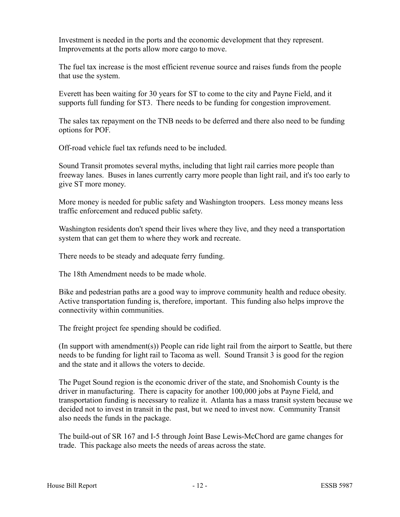Investment is needed in the ports and the economic development that they represent. Improvements at the ports allow more cargo to move.

The fuel tax increase is the most efficient revenue source and raises funds from the people that use the system.

Everett has been waiting for 30 years for ST to come to the city and Payne Field, and it supports full funding for ST3. There needs to be funding for congestion improvement.

The sales tax repayment on the TNB needs to be deferred and there also need to be funding options for POF.

Off-road vehicle fuel tax refunds need to be included.

Sound Transit promotes several myths, including that light rail carries more people than freeway lanes. Buses in lanes currently carry more people than light rail, and it's too early to give ST more money.

More money is needed for public safety and Washington troopers. Less money means less traffic enforcement and reduced public safety.

Washington residents don't spend their lives where they live, and they need a transportation system that can get them to where they work and recreate.

There needs to be steady and adequate ferry funding.

The 18th Amendment needs to be made whole.

Bike and pedestrian paths are a good way to improve community health and reduce obesity. Active transportation funding is, therefore, important. This funding also helps improve the connectivity within communities.

The freight project fee spending should be codified.

(In support with amendment(s)) People can ride light rail from the airport to Seattle, but there needs to be funding for light rail to Tacoma as well. Sound Transit 3 is good for the region and the state and it allows the voters to decide.

The Puget Sound region is the economic driver of the state, and Snohomish County is the driver in manufacturing. There is capacity for another 100,000 jobs at Payne Field, and transportation funding is necessary to realize it. Atlanta has a mass transit system because we decided not to invest in transit in the past, but we need to invest now. Community Transit also needs the funds in the package.

The build-out of SR 167 and I-5 through Joint Base Lewis-McChord are game changes for trade. This package also meets the needs of areas across the state.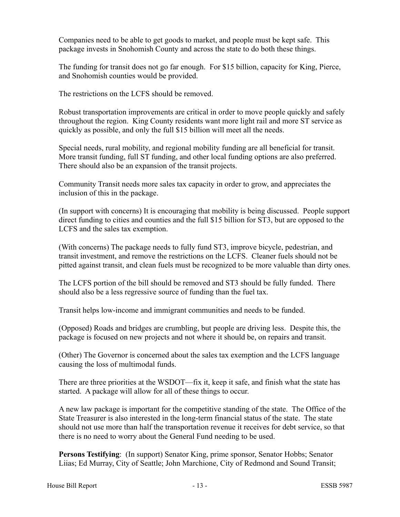Companies need to be able to get goods to market, and people must be kept safe. This package invests in Snohomish County and across the state to do both these things.

The funding for transit does not go far enough. For \$15 billion, capacity for King, Pierce, and Snohomish counties would be provided.

The restrictions on the LCFS should be removed.

Robust transportation improvements are critical in order to move people quickly and safely throughout the region. King County residents want more light rail and more ST service as quickly as possible, and only the full \$15 billion will meet all the needs.

Special needs, rural mobility, and regional mobility funding are all beneficial for transit. More transit funding, full ST funding, and other local funding options are also preferred. There should also be an expansion of the transit projects.

Community Transit needs more sales tax capacity in order to grow, and appreciates the inclusion of this in the package.

(In support with concerns) It is encouraging that mobility is being discussed. People support direct funding to cities and counties and the full \$15 billion for ST3, but are opposed to the LCFS and the sales tax exemption.

(With concerns) The package needs to fully fund ST3, improve bicycle, pedestrian, and transit investment, and remove the restrictions on the LCFS. Cleaner fuels should not be pitted against transit, and clean fuels must be recognized to be more valuable than dirty ones.

The LCFS portion of the bill should be removed and ST3 should be fully funded. There should also be a less regressive source of funding than the fuel tax.

Transit helps low-income and immigrant communities and needs to be funded.

(Opposed) Roads and bridges are crumbling, but people are driving less. Despite this, the package is focused on new projects and not where it should be, on repairs and transit.

(Other) The Governor is concerned about the sales tax exemption and the LCFS language causing the loss of multimodal funds.

There are three priorities at the WSDOT—fix it, keep it safe, and finish what the state has started. A package will allow for all of these things to occur.

A new law package is important for the competitive standing of the state. The Office of the State Treasurer is also interested in the long-term financial status of the state. The state should not use more than half the transportation revenue it receives for debt service, so that there is no need to worry about the General Fund needing to be used.

**Persons Testifying**: (In support) Senator King, prime sponsor, Senator Hobbs; Senator Liias; Ed Murray, City of Seattle; John Marchione, City of Redmond and Sound Transit;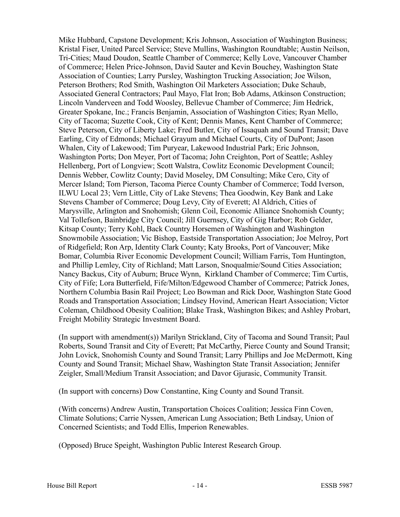Mike Hubbard, Capstone Development; Kris Johnson, Association of Washington Business; Kristal Fiser, United Parcel Service; Steve Mullins, Washington Roundtable; Austin Neilson, Tri-Cities; Maud Doudon, Seattle Chamber of Commerce; Kelly Love, Vancouver Chamber of Commerce; Helen Price-Johnson, David Sauter and Kevin Bouchey, Washington State Association of Counties; Larry Pursley, Washington Trucking Association; Joe Wilson, Peterson Brothers; Rod Smith, Washington Oil Marketers Association; Duke Schaub, Associated General Contractors; Paul Mayo, Flat Iron; Bob Adams, Atkinson Construction; Lincoln Vanderveen and Todd Woosley, Bellevue Chamber of Commerce; Jim Hedrick, Greater Spokane, Inc.; Francis Benjamin, Association of Washington Cities; Ryan Mello, City of Tacoma; Suzette Cook, City of Kent; Dennis Manes, Kent Chamber of Commerce; Steve Peterson, City of Liberty Lake; Fred Butler, City of Issaquah and Sound Transit; Dave Earling, City of Edmonds; Michael Grayum and Michael Courts, City of DuPont; Jason Whalen, City of Lakewood; Tim Puryear, Lakewood Industrial Park; Eric Johnson, Washington Ports; Don Meyer, Port of Tacoma; John Creighton, Port of Seattle; Ashley Hellenberg, Port of Longview; Scott Walstra, Cowlitz Economic Development Council; Dennis Webber, Cowlitz County; David Moseley, DM Consulting; Mike Cero, City of Mercer Island; Tom Pierson, Tacoma Pierce County Chamber of Commerce; Todd Iverson, ILWU Local 23; Vern Little, City of Lake Stevens; Thea Goodwin, Key Bank and Lake Stevens Chamber of Commerce; Doug Levy, City of Everett; Al Aldrich, Cities of Marysville, Arlington and Snohomish; Glenn Coil, Economic Alliance Snohomish County; Val Tollefson, Bainbridge City Council; Jill Guernsey, City of Gig Harbor; Rob Gelder, Kitsap County; Terry Kohl, Back Country Horsemen of Washington and Washington Snowmobile Association; Vic Bishop, Eastside Transportation Association; Joe Melroy, Port of Ridgefield; Ron Arp, Identity Clark County; Katy Brooks, Port of Vancouver; Mike Bomar, Columbia River Economic Development Council; William Farris, Tom Huntington, and Phillip Lemley, City of Richland; Matt Larson, Snoqualmie/Sound Cities Association; Nancy Backus, City of Auburn; Bruce Wynn, Kirkland Chamber of Commerce; Tim Curtis, City of Fife; Lora Butterfield, Fife/Milton/Edgewood Chamber of Commerce; Patrick Jones, Northern Columbia Basin Rail Project; Leo Bowman and Rick Door, Washington State Good Roads and Transportation Association; Lindsey Hovind, American Heart Association; Victor Coleman, Childhood Obesity Coalition; Blake Trask, Washington Bikes; and Ashley Probart, Freight Mobility Strategic Investment Board.

(In support with amendment(s)) Marilyn Strickland, City of Tacoma and Sound Transit; Paul Roberts, Sound Transit and City of Everett; Pat McCarthy, Pierce County and Sound Transit; John Lovick, Snohomish County and Sound Transit; Larry Phillips and Joe McDermott, King County and Sound Transit; Michael Shaw, Washington State Transit Association; Jennifer Zeigler, Small/Medium Transit Association; and Davor Gjurasic, Community Transit.

(In support with concerns) Dow Constantine, King County and Sound Transit.

(With concerns) Andrew Austin, Transportation Choices Coalition; Jessica Finn Coven, Climate Solutions; Carrie Nyssen, American Lung Association; Beth Lindsay, Union of Concerned Scientists; and Todd Ellis, Imperion Renewables.

(Opposed) Bruce Speight, Washington Public Interest Research Group.